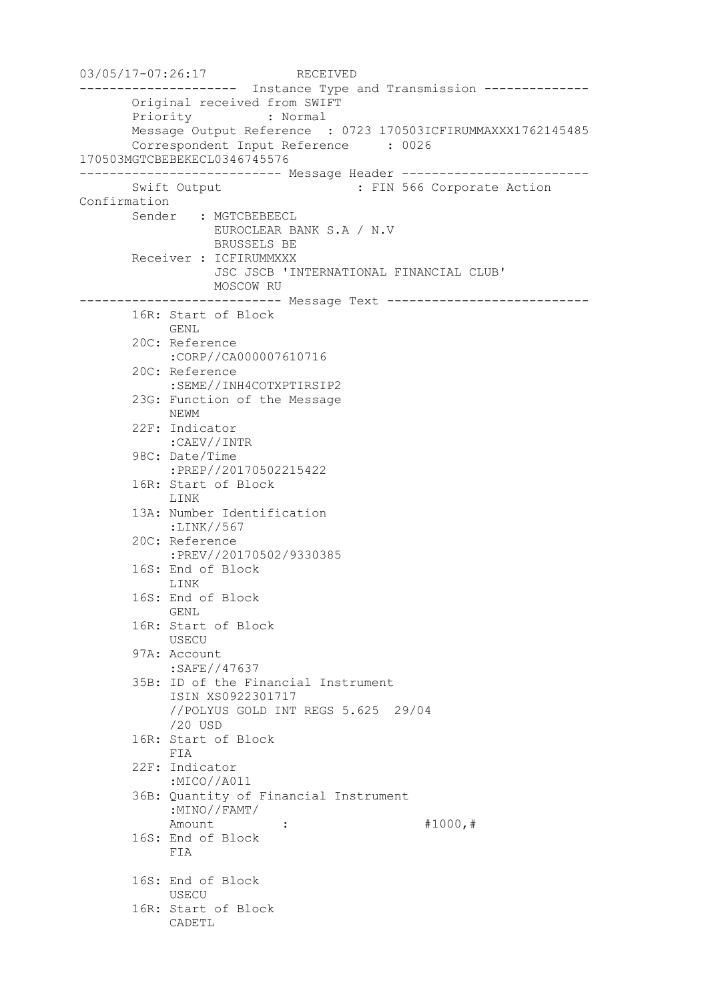```
03/05/17-07:26:17 RECEIVED
--------------------- Instance Type and Transmission --------------
       Original received from SWIFT
       Priority : Normal
       Message Output Reference : 0723 170503ICFIRUMMAXXX1762145485
       Correspondent Input Reference : 0026 
170503MGTCBEBEKECL0346745576
--------------------------- Message Header -------------------------
      Swift Output : FIN 566 Corporate Action
Confirmation
       Sender : MGTCBEBEECL
                 EUROCLEAR BANK S.A / N.V
                  BRUSSELS BE
       Receiver : ICFIRUMMXXX
                   JSC JSCB 'INTERNATIONAL FINANCIAL CLUB'
                 MOSCOW RU
--------------------------- Message Text ---------------------------
       16R: Start of Block
            GENL
        20C: Reference
            :CORP//CA000007610716
        20C: Reference
            :SEME//INH4COTXPTIRSIP2
        23G: Function of the Message
            NEWM
        22F: Indicator
            :CAEV//INTR
        98C: Date/Time
            :PREP//20170502215422
        16R: Start of Block
            LINK
        13A: Number Identification
            :LINK//567
        20C: Reference
            :PREV//20170502/9330385
        16S: End of Block
            LINK
        16S: End of Block
            GENL
        16R: Start of Block
            USECU
        97A: Account
            :SAFE//47637
        35B: ID of the Financial Instrument
            ISIN XS0922301717
            //POLYUS GOLD INT REGS 5.625 29/04
            /20 USD
        16R: Start of Block
            FIA
        22F: Indicator
             :MICO//A011
        36B: Quantity of Financial Instrument
            :MINO//FAMT/
           Amount : : #1000, #
        16S: End of Block
            FIA
        16S: End of Block
            USECU
        16R: Start of Block
            CADETL
```